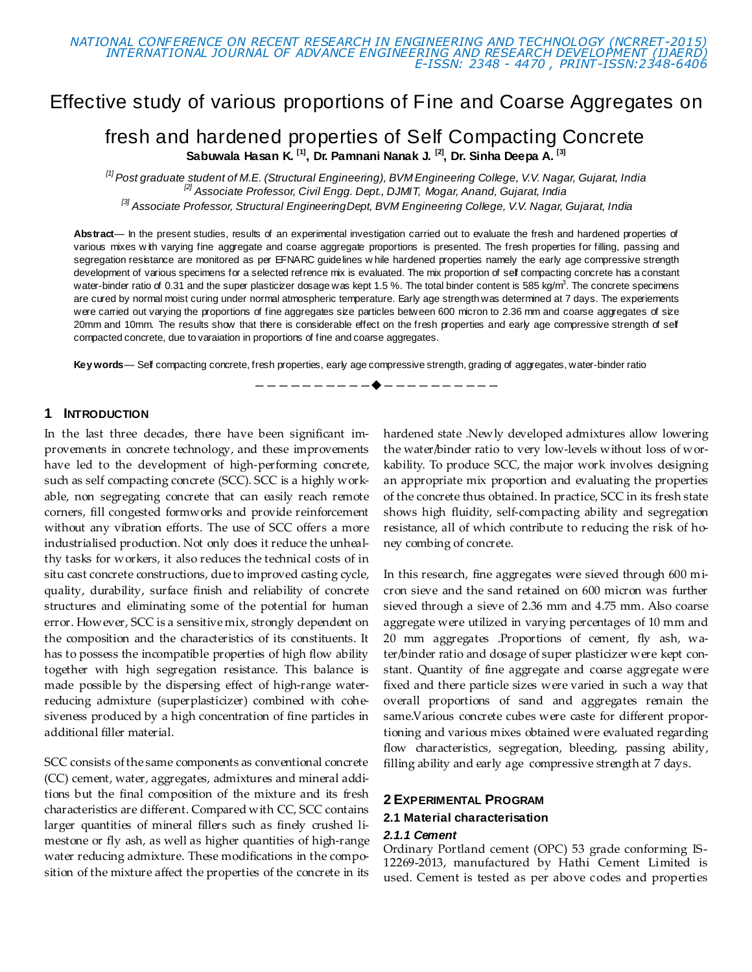# Effective study of various proportions of Fine and Coarse Aggregates on

# fresh and hardened properties of Self Compacting Concrete **Sabuwala Hasan K. [1] , Dr. Pamnani Nanak J. [2], Dr. Sinha Deepa A. [3]**

*[1] Post graduate student of M.E. (Structural Engineering), BVM Engineering College, V.V. Nagar, Gujarat, India [2] Associate Professor, Civil Engg. Dept., DJMIT, Mogar, Anand, Gujarat, India [3] Associate Professor, Structural EngineeringDept, BVM Engineering College, V.V. Nagar, Gujarat, India*

Abstract— In the present studies, results of an experimental investigation carried out to evaluate the fresh and hardened properties of various mixes w ith varying fine aggregate and coarse aggregate proportions is presented. The fresh properties for filling, passing and segregation resistance are monitored as per EFNARC guidelines w hile hardened properties namely the early age compressive strength development of various specimens for a selected refrence mix is evaluated. The mix proportion of self compacting concrete has a constant water-binder ratio of 0.31 and the super plasticizer dosage was kept 1.5 %. The total binder content is 585 kg/m<sup>3</sup>. The concrete specimens are cured by normal moist curing under normal atmospheric temperature. Early age strength was determined at 7 days. The experiements were carried out varying the proportions of fine aggregates size particles between 600 micron to 2.36 mm and coarse aggregates of size 20mm and 10mm. The results show that there is considerable effect on the fresh properties and early age compressive strength of self compacted concrete, due to varaiation in proportions of fine and coarse aggregates.

**Key words**— Self compacting concrete, fresh properties, early age compressive strength, grading of aggregates, water-binder ratio

————————<del>——</del>————————

### **1 INTRODUCTION**

In the last three decades, there have been significant improvements in concrete technology, and these improvements have led to the development of high-performing concrete, such as self compacting concrete (SCC). SCC is a highly workable, non segregating concrete that can easily reach remote corners, fill congested formworks and provide reinforcement without any vibration efforts. The use of SCC offers a more industrialised production. Not only does it reduce the unhealthy tasks for workers, it also reduces the technical costs of in situ cast concrete constructions, due to improved casting cycle, quality, durability, surface finish and reliability of concrete structures and eliminating some of the potential for human error. However, SCC is a sensitive mix, strongly dependent on the composition and the characteristics of its constituents. It has to possess the incompatible properties of high flow ability together with high segregation resistance. This balance is made possible by the dispersing effect of high-range waterreducing admixture (superplasticizer) combined with cohesiveness produced by a high concentration of fine particles in additional filler material.

SCC consists of the same components as conventional concrete (CC) cement, water, aggregates, admixtures and mineral additions but the final composition of the mixture and its fresh characteristics are different. Compared with CC, SCC contains larger quantities of mineral fillers such as finely crushed limestone or fly ash, as well as higher quantities of high-range water reducing admixture. These modifications in the composition of the mixture affect the properties of the concrete in its

hardened state .Newly developed admixtures allow lowering the water/binder ratio to very low-levels without loss of workability. To produce SCC, the major work involves designing an appropriate mix proportion and evaluating the properties of the concrete thus obtained. In practice, SCC in its fresh state shows high fluidity, self-compacting ability and segregation resistance, all of which contribute to reducing the risk of honey combing of concrete.

In this research, fine aggregates were sieved through 600 micron sieve and the sand retained on 600 micron was further sieved through a sieve of 2.36 mm and 4.75 mm. Also coarse aggregate were utilized in varying percentages of 10 mm and 20 mm aggregates .Proportions of cement, fly ash, water/binder ratio and dosage of super plasticizer were kept constant. Quantity of fine aggregate and coarse aggregate were fixed and there particle sizes were varied in such a way that overall proportions of sand and aggregates remain the same.Various concrete cubes were caste for different proportioning and various mixes obtained were evaluated regarding flow characteristics, segregation, bleeding, passing ability, filling ability and early age compressive strength at 7 days.

### **2 EXPERIMENTAL PROGRAM**

#### **2.1 Material characterisation**

#### *2.1.1 Cement*

Ordinary Portland cement (OPC) 53 grade conforming IS-12269-2013, manufactured by Hathi Cement Limited is used. Cement is tested as per above codes and properties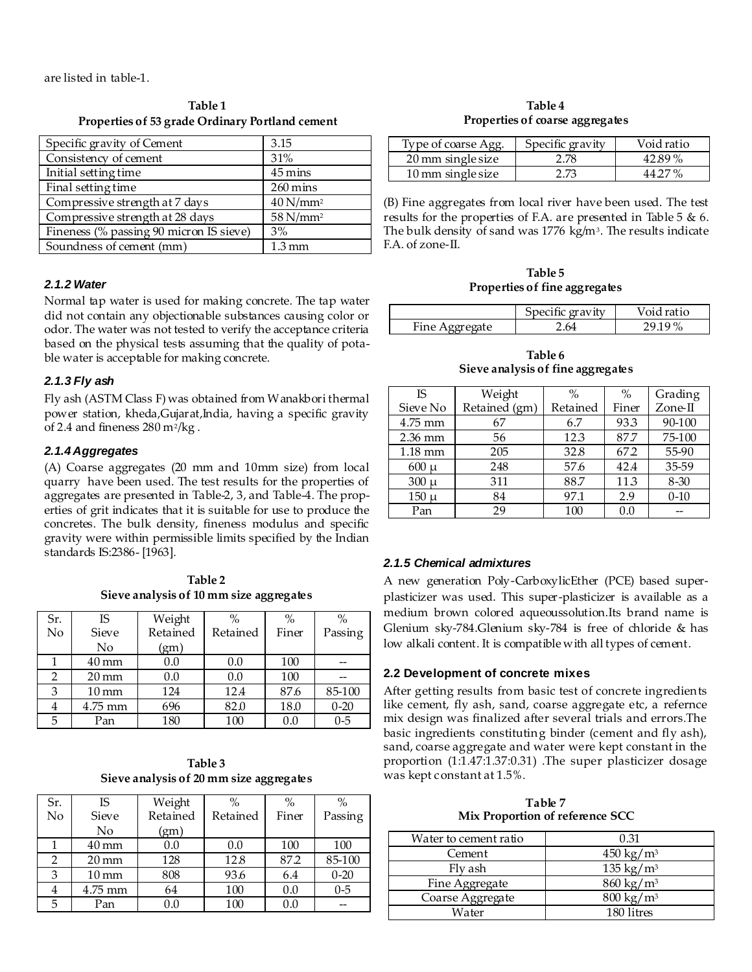are listed in table-1.

**Table 1 Properties of 53 grade Ordinary Portland cement**

| Specific gravity of Cement              | 3.15                   |
|-----------------------------------------|------------------------|
| Consistency of cement                   | 31%                    |
| Initial setting time                    | $45 \,\mathrm{mins}$   |
| Final setting time                      | $260 \,\mathrm{mins}$  |
| Compressive strength at 7 days          | $40$ N/mm <sup>2</sup> |
| Compressive strength at 28 days         | 58 N/mm <sup>2</sup>   |
| Fineness (% passing 90 micron IS sieve) | 3%                     |
| Soundness of cement (mm)                | 1.3 mm                 |

# *2.1.2 Water*

Normal tap water is used for making concrete. The tap water did not contain any objectionable substances causing color or odor. The water was not tested to verify the acceptance criteria based on the physical tests assuming that the quality of potable water is acceptable for making concrete.

# *2.1.3 Fly ash*

Fly ash (ASTM Class F) was obtained from Wanakbori thermal power station, kheda,Gujarat,India, having a specific gravity of 2.4 and fineness  $280 \text{ m}^2/\text{kg}$ .

# *2.1.4 Aggregates*

(A) Coarse aggregates (20 mm and 10mm size) from local quarry have been used. The test results for the properties of aggregates are presented in Table-2, 3, and Table-4. The properties of grit indicates that it is suitable for use to produce the concretes. The bulk density, fineness modulus and specific gravity were within permissible limits specified by the Indian standards IS:2386- [1963].

**Table 2 Sieve analysis of 10 mm size aggregates**

| Sr. | <b>IS</b>          | Weight   | $\%$     | $\%$  | $\%$     |
|-----|--------------------|----------|----------|-------|----------|
| No  | <b>Sieve</b>       | Retained | Retained | Finer | Passing  |
|     | No                 | (gm)     |          |       |          |
|     | $40 \,\mathrm{mm}$ | 0.0      | 0.0      | 100   |          |
|     | $20 \,\mathrm{mm}$ | 0.0      | 0.0      | 100   |          |
| 3   | $10 \,\mathrm{mm}$ | 124      | 12.4     | 87.6  | 85-100   |
| 4   | 4.75 mm            | 696      | 82.0     | 18.0  | $0 - 20$ |
| 5   | Pan                | 180      | 100      | 0.0   | $0 - 5$  |

**Table 3 Sieve analysis of 20 mm size aggregates**

| Sr.            | IS                 | Weight   | $\%$     | $\%$  | $\%$     |
|----------------|--------------------|----------|----------|-------|----------|
| $\overline{N}$ | Sieve              | Retained | Retained | Finer | Passing  |
|                | No                 | (gm)     |          |       |          |
|                | $40 \,\mathrm{mm}$ | 0.0      | 0.0      | 100   | 100      |
| 2              | $20 \,\mathrm{mm}$ | 128      | 12.8     | 872   | 85-100   |
| 3              | $10 \,\mathrm{mm}$ | 808      | 93.6     | 6.4   | $0 - 20$ |
| 4              | 4.75 mm            | 64       | 100      | 0.0   | $0 - 5$  |
| 5              | Pan                | 0.0      | 100      | 0.0   |          |

**Table 4 Properties of coarse aggregates**

| Type of coarse Agg.            | Specific gravity | Void ratio |
|--------------------------------|------------------|------------|
| 20 mm single size              | 2.78             | 42.89%     |
| $10 \,\mathrm{mm}$ single size | 2.73             | 44.27%     |

(B) Fine aggregates from local river have been used. The test results for the properties of F.A. are presented in Table 5 & 6. The bulk density of sand was 1776 kg/m $^{\rm 3}$ . The results indicate F.A. of zone-II.

**Table 5 Properties of fine aggregates**

|                              | ific gravity | oid ratio                 |
|------------------------------|--------------|---------------------------|
| $\lim_{\theta}$<br>Aggregate | $\sim$       | $\mathbf{O}/$<br>u<br>، ن |

**Table 6 Sieve analysis of fine aggregates**

| <b>IS</b> | Weight        | $\%$     | $\%$  | Grading    |
|-----------|---------------|----------|-------|------------|
| Sieve No  | Retained (gm) | Retained | Finer | $Z$ one-II |
| 4.75 mm   | 67            | 6.7      | 93.3  | 90-100     |
| $2.36$ mm | 56            | 12.3     | 87.7  | 75-100     |
| $1.18$ mm | 205           | 32.8     | 672   | 55-90      |
| $600 \mu$ | 248           | 57.6     | 42.4  | 35-59      |
| $300 \mu$ | 311           | 88.7     | 11.3  | $8 - 30$   |
| $150 \mu$ | 84            | 97.1     | 2.9   | $0-10$     |
| Pan       | 29            | 100      | 0.0   |            |

# *2.1.5 Chemical admixtures*

A new generation Poly-CarboxylicEther (PCE) based superplasticizer was used. This super-plasticizer is available as a medium brown colored aqueoussolution.Its brand name is Glenium sky-784.Glenium sky-784 is free of chloride & has low alkali content. It is compatible with all types of cement.

### **2.2 Development of concrete mixes**

After getting results from basic test of concrete ingredients like cement, fly ash, sand, coarse aggregate etc, a refernce mix design was finalized after several trials and errors.The basic ingredients constituting binder (cement and fly ash), sand, coarse aggregate and water were kept constant in the proportion (1:1.47:1.37:0.31) .The super plasticizer dosage was kept constant at 1.5%.

**Table 7 Mix Proportion of reference SCC**

| Water to cement ratio | 0.31                  |
|-----------------------|-----------------------|
| Cement                | $450 \text{ kg/m}^3$  |
| Fly ash               | 135 kg/m <sup>3</sup> |
| Fine Aggregate        | $860 \text{ kg/m}^3$  |
| Coarse Aggregate      | $800 \text{ kg/m}^3$  |
| Water                 | 180 litres            |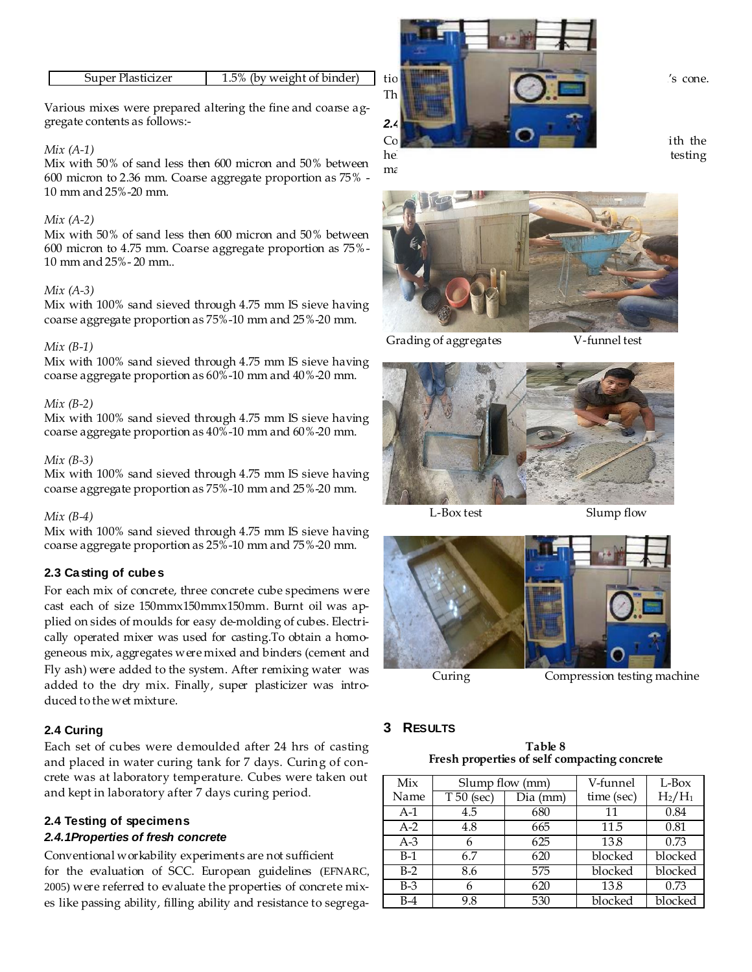| 1.5% (by weight of binder)<br>Super Plasticizer |
|-------------------------------------------------|
|-------------------------------------------------|

Various mixes were prepared altering the fine and coarse aggregate contents as follows:-

#### *Mix (A-1)*

Mix with 50% of sand less then 600 micron and 50% between 600 micron to 2.36 mm. Coarse aggregate proportion as 75% - 10 mm and 25%-20 mm.

#### *Mix (A-2)*

Mix with 50% of sand less then 600 micron and 50% between 600 micron to 4.75 mm. Coarse aggregate proportion as 75%- 10 mm and 25%- 20 mm..

#### *Mix (A-3)*

Mix with 100% sand sieved through 4.75 mm IS sieve having coarse aggregate proportion as 75%-10 mm and 25%-20 mm.

#### *Mix (B-1)*

Mix with 100% sand sieved through 4.75 mm IS sieve having coarse aggregate proportion as 60%-10 mm and 40%-20 mm.

#### *Mix (B-2)*

Mix with 100% sand sieved through 4.75 mm IS sieve having coarse aggregate proportion as 40%-10 mm and 60%-20 mm.

#### *Mix (B-3)*

Mix with 100% sand sieved through 4.75 mm IS sieve having coarse aggregate proportion as 75%-10 mm and 25%-20 mm.

#### *Mix (B-4)*

Mix with 100% sand sieved through 4.75 mm IS sieve having coarse aggregate proportion as 25%-10 mm and 75%-20 mm.

### **2.3 Casting of cubes**

For each mix of concrete, three concrete cube specimens were cast each of size 150mmx150mmx150mm. Burnt oil was applied on sides of moulds for easy de-molding of cubes. Electrically operated mixer was used for casting.To obtain a homogeneous mix, aggregates were mixed and binders (cement and Fly ash) were added to the system. After remixing water was added to the dry mix. Finally, super plasticizer was introduced to the wet mixture.

### **2.4 Curing**

Each set of cubes were demoulded after 24 hrs of casting and placed in water curing tank for 7 days. Curing of concrete was at laboratory temperature. Cubes were taken out and kept in laboratory after 7 days curing period.

### **2.4 Testing of specimens**

### *2.4.1Properties of fresh concrete*

Conventional workability experiments are not sufficient for the evaluation of SCC. European guidelines (EFNARC, 2005) were referred to evaluate the properties of concrete mixes like passing ability, filling ability and resistance to segrega-



ma



Grading of aggregates V-funnel test



L-Box test Slump flow



Curing Compression testing machine

### **3 RESULTS**

**Table 8 Fresh properties of self compacting concrete**

| Mix   | Slump flow (mm) |          | V-funnel   | L-Box     |
|-------|-----------------|----------|------------|-----------|
| Name  | $T50$ (sec)     | Dia (mm) | time (sec) | $H_2/H_1$ |
| $A-1$ | 4.5             | 680      | 11         | 0.84      |
| $A-2$ | 4.8             | 665      | 11.5       | 0.81      |
| $A-3$ | 6               | 625      | 13.8       | 0.73      |
| $B-1$ | 6.7             | 620      | blocked    | blocked   |
| $B-2$ | 8.6             | 575      | blocked    | blocked   |
| $B-3$ | 6               | 620      | 13.8       | 0.73      |
| B-4   | 9.8             | 530      | blocked    | blocked   |

help of gradual loading by a calibrated compression testing testing testing testing testing testing testing testing testing testing testing testing testing testing testing testing testing testing testing testing testing te